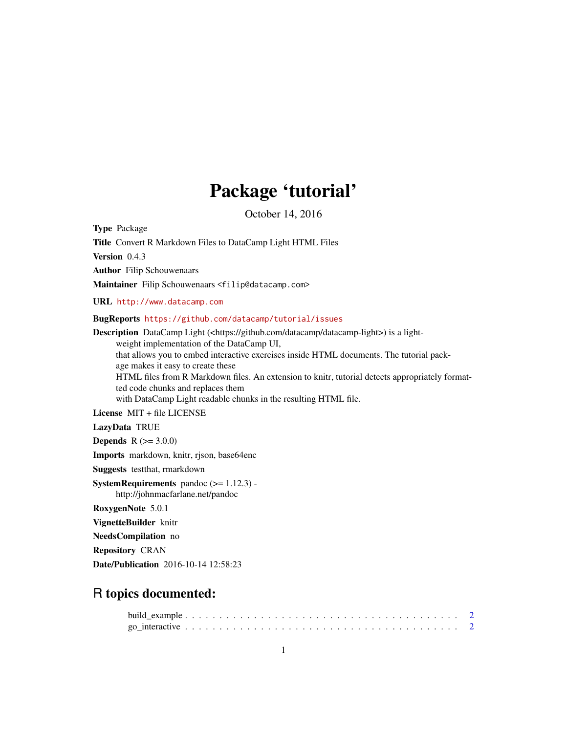## Package 'tutorial'

October 14, 2016

Type Package

Title Convert R Markdown Files to DataCamp Light HTML Files

Version 0.4.3

Author Filip Schouwenaars

Maintainer Filip Schouwenaars <filip@datacamp.com>

URL <http://www.datacamp.com>

BugReports <https://github.com/datacamp/tutorial/issues>

Description DataCamp Light (<https://github.com/datacamp/datacamp-light>) is a lightweight implementation of the DataCamp UI, that allows you to embed interactive exercises inside HTML documents. The tutorial package makes it easy to create these HTML files from R Markdown files. An extension to knitr, tutorial detects appropriately formatted code chunks and replaces them with DataCamp Light readable chunks in the resulting HTML file. License MIT + file LICENSE

LazyData TRUE

**Depends**  $R (= 3.0.0)$ 

Imports markdown, knitr, rjson, base64enc

Suggests testthat, rmarkdown

**SystemRequirements** pandoc  $(>= 1.12.3)$  http://johnmacfarlane.net/pandoc

RoxygenNote 5.0.1

VignetteBuilder knitr

NeedsCompilation no

Repository CRAN

Date/Publication 2016-10-14 12:58:23

### R topics documented: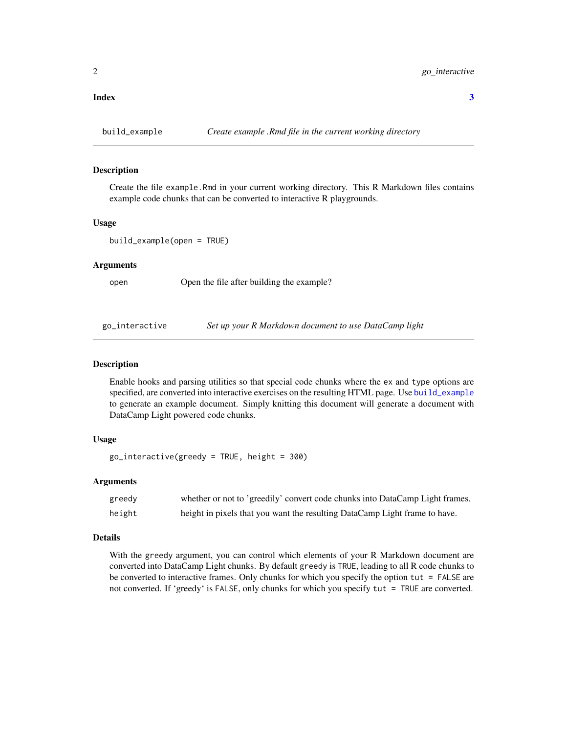#### <span id="page-1-0"></span>**Index** [3](#page-2-0)

<span id="page-1-1"></span>build\_example *Create example .Rmd file in the current working directory*

#### Description

Create the file example.Rmd in your current working directory. This R Markdown files contains example code chunks that can be converted to interactive R playgrounds.

#### Usage

build\_example(open = TRUE)

#### Arguments

open Open the file after building the example?

go\_interactive *Set up your R Markdown document to use DataCamp light*

#### Description

Enable hooks and parsing utilities so that special code chunks where the ex and type options are specified, are converted into interactive exercises on the resulting HTML page. Use [build\\_example](#page-1-1) to generate an example document. Simply knitting this document will generate a document with DataCamp Light powered code chunks.

#### Usage

```
go\_interactive(greedy = TRUE, height = 300)
```
#### Arguments

| greedy | whether or not to 'greedily' convert code chunks into DataCamp Light frames. |
|--------|------------------------------------------------------------------------------|
| height | height in pixels that you want the resulting DataCamp Light frame to have.   |

#### Details

With the greedy argument, you can control which elements of your R Markdown document are converted into DataCamp Light chunks. By default greedy is TRUE, leading to all R code chunks to be converted to interactive frames. Only chunks for which you specify the option tut = FALSE are not converted. If 'greedy' is FALSE, only chunks for which you specify tut = TRUE are converted.